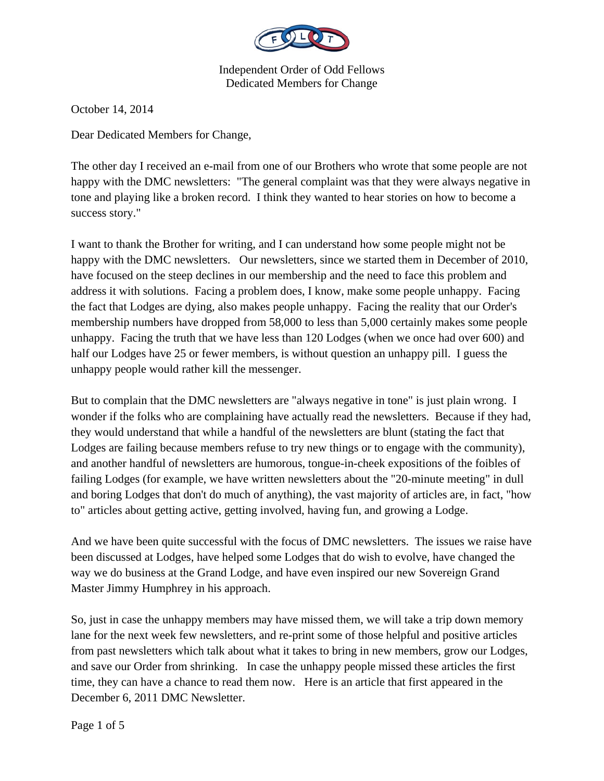

October 14, 2014

Dear Dedicated Members for Change,

The other day I received an e-mail from one of our Brothers who wrote that some people are not happy with the DMC newsletters: "The general complaint was that they were always negative in tone and playing like a broken record. I think they wanted to hear stories on how to become a success story."

I want to thank the Brother for writing, and I can understand how some people might not be happy with the DMC newsletters. Our newsletters, since we started them in December of 2010, have focused on the steep declines in our membership and the need to face this problem and address it with solutions. Facing a problem does, I know, make some people unhappy. Facing the fact that Lodges are dying, also makes people unhappy. Facing the reality that our Order's membership numbers have dropped from 58,000 to less than 5,000 certainly makes some people unhappy. Facing the truth that we have less than 120 Lodges (when we once had over 600) and half our Lodges have 25 or fewer members, is without question an unhappy pill. I guess the unhappy people would rather kill the messenger.

But to complain that the DMC newsletters are "always negative in tone" is just plain wrong. I wonder if the folks who are complaining have actually read the newsletters. Because if they had, they would understand that while a handful of the newsletters are blunt (stating the fact that Lodges are failing because members refuse to try new things or to engage with the community), and another handful of newsletters are humorous, tongue-in-cheek expositions of the foibles of failing Lodges (for example, we have written newsletters about the "20-minute meeting" in dull and boring Lodges that don't do much of anything), the vast majority of articles are, in fact, "how to" articles about getting active, getting involved, having fun, and growing a Lodge.

And we have been quite successful with the focus of DMC newsletters. The issues we raise have been discussed at Lodges, have helped some Lodges that do wish to evolve, have changed the way we do business at the Grand Lodge, and have even inspired our new Sovereign Grand Master Jimmy Humphrey in his approach.

So, just in case the unhappy members may have missed them, we will take a trip down memory lane for the next week few newsletters, and re-print some of those helpful and positive articles from past newsletters which talk about what it takes to bring in new members, grow our Lodges, and save our Order from shrinking. In case the unhappy people missed these articles the first time, they can have a chance to read them now. Here is an article that first appeared in the December 6, 2011 DMC Newsletter.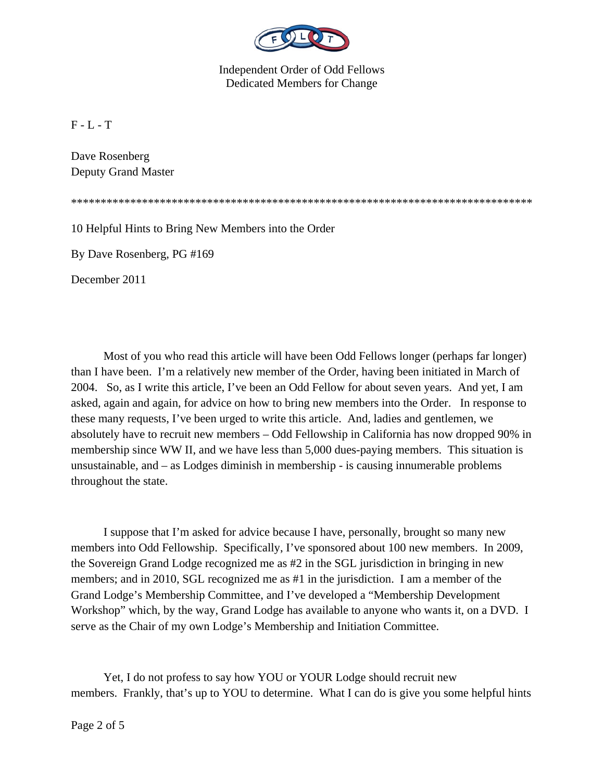

 $F - L - T$ 

Dave Rosenberg Deputy Grand Master

\*\*\*\*\*\*\*\*\*\*\*\*\*\*\*\*\*\*\*\*\*\*\*\*\*\*\*\*\*\*\*\*\*\*\*\*\*\*\*\*\*\*\*\*\*\*\*\*\*\*\*\*\*\*\*\*\*\*\*\*\*\*\*\*\*\*\*\*\*\*\*\*\*\*\*\*\*\*

10 Helpful Hints to Bring New Members into the Order

By Dave Rosenberg, PG #169

December 2011

 Most of you who read this article will have been Odd Fellows longer (perhaps far longer) than I have been. I'm a relatively new member of the Order, having been initiated in March of 2004. So, as I write this article, I've been an Odd Fellow for about seven years. And yet, I am asked, again and again, for advice on how to bring new members into the Order. In response to these many requests, I've been urged to write this article. And, ladies and gentlemen, we absolutely have to recruit new members – Odd Fellowship in California has now dropped 90% in membership since WW II, and we have less than 5,000 dues-paying members. This situation is unsustainable, and – as Lodges diminish in membership - is causing innumerable problems throughout the state.

 I suppose that I'm asked for advice because I have, personally, brought so many new members into Odd Fellowship. Specifically, I've sponsored about 100 new members. In 2009, the Sovereign Grand Lodge recognized me as #2 in the SGL jurisdiction in bringing in new members; and in 2010, SGL recognized me as #1 in the jurisdiction. I am a member of the Grand Lodge's Membership Committee, and I've developed a "Membership Development Workshop" which, by the way, Grand Lodge has available to anyone who wants it, on a DVD. I serve as the Chair of my own Lodge's Membership and Initiation Committee.

 Yet, I do not profess to say how YOU or YOUR Lodge should recruit new members. Frankly, that's up to YOU to determine. What I can do is give you some helpful hints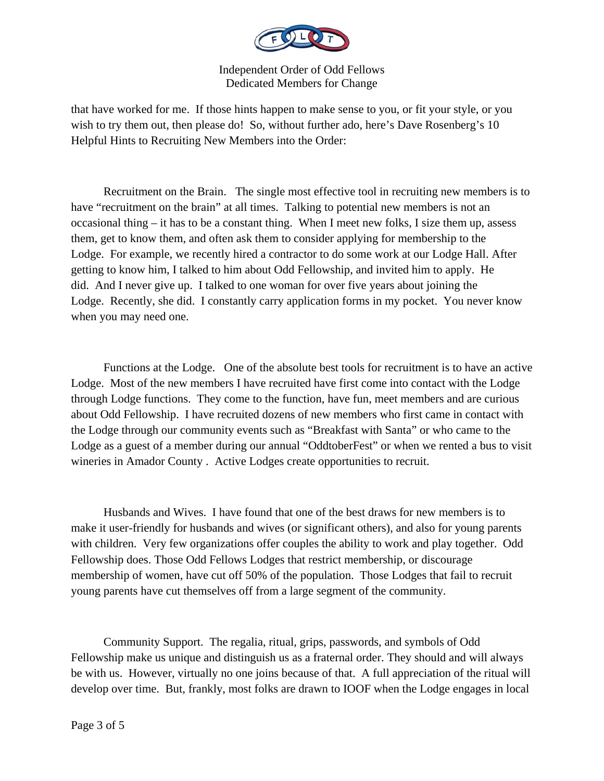

that have worked for me. If those hints happen to make sense to you, or fit your style, or you wish to try them out, then please do! So, without further ado, here's Dave Rosenberg's 10 Helpful Hints to Recruiting New Members into the Order:

 Recruitment on the Brain. The single most effective tool in recruiting new members is to have "recruitment on the brain" at all times. Talking to potential new members is not an occasional thing – it has to be a constant thing. When I meet new folks, I size them up, assess them, get to know them, and often ask them to consider applying for membership to the Lodge. For example, we recently hired a contractor to do some work at our Lodge Hall. After getting to know him, I talked to him about Odd Fellowship, and invited him to apply. He did. And I never give up. I talked to one woman for over five years about joining the Lodge. Recently, she did. I constantly carry application forms in my pocket. You never know when you may need one.

 Functions at the Lodge. One of the absolute best tools for recruitment is to have an active Lodge. Most of the new members I have recruited have first come into contact with the Lodge through Lodge functions. They come to the function, have fun, meet members and are curious about Odd Fellowship. I have recruited dozens of new members who first came in contact with the Lodge through our community events such as "Breakfast with Santa" or who came to the Lodge as a guest of a member during our annual "OddtoberFest" or when we rented a bus to visit wineries in Amador County . Active Lodges create opportunities to recruit.

 Husbands and Wives. I have found that one of the best draws for new members is to make it user-friendly for husbands and wives (or significant others), and also for young parents with children. Very few organizations offer couples the ability to work and play together. Odd Fellowship does. Those Odd Fellows Lodges that restrict membership, or discourage membership of women, have cut off 50% of the population. Those Lodges that fail to recruit young parents have cut themselves off from a large segment of the community.

 Community Support. The regalia, ritual, grips, passwords, and symbols of Odd Fellowship make us unique and distinguish us as a fraternal order. They should and will always be with us. However, virtually no one joins because of that. A full appreciation of the ritual will develop over time. But, frankly, most folks are drawn to IOOF when the Lodge engages in local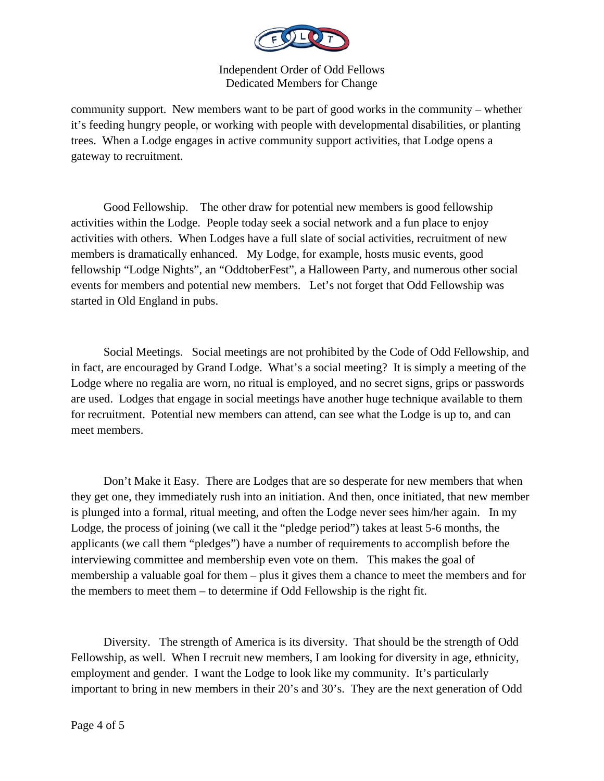

community support. New members want to be part of good works in the community – whether it's feeding hungry people, or working with people with developmental disabilities, or planting trees. When a Lodge engages in active community support activities, that Lodge opens a gateway to recruitment.

 Good Fellowship. The other draw for potential new members is good fellowship activities within the Lodge. People today seek a social network and a fun place to enjoy activities with others. When Lodges have a full slate of social activities, recruitment of new members is dramatically enhanced. My Lodge, for example, hosts music events, good fellowship "Lodge Nights", an "OddtoberFest", a Halloween Party, and numerous other social events for members and potential new members. Let's not forget that Odd Fellowship was started in Old England in pubs.

 Social Meetings. Social meetings are not prohibited by the Code of Odd Fellowship, and in fact, are encouraged by Grand Lodge. What's a social meeting? It is simply a meeting of the Lodge where no regalia are worn, no ritual is employed, and no secret signs, grips or passwords are used. Lodges that engage in social meetings have another huge technique available to them for recruitment. Potential new members can attend, can see what the Lodge is up to, and can meet members.

 Don't Make it Easy. There are Lodges that are so desperate for new members that when they get one, they immediately rush into an initiation. And then, once initiated, that new member is plunged into a formal, ritual meeting, and often the Lodge never sees him/her again. In my Lodge, the process of joining (we call it the "pledge period") takes at least 5-6 months, the applicants (we call them "pledges") have a number of requirements to accomplish before the interviewing committee and membership even vote on them. This makes the goal of membership a valuable goal for them – plus it gives them a chance to meet the members and for the members to meet them – to determine if Odd Fellowship is the right fit.

 Diversity. The strength of America is its diversity. That should be the strength of Odd Fellowship, as well. When I recruit new members, I am looking for diversity in age, ethnicity, employment and gender. I want the Lodge to look like my community. It's particularly important to bring in new members in their 20's and 30's. They are the next generation of Odd